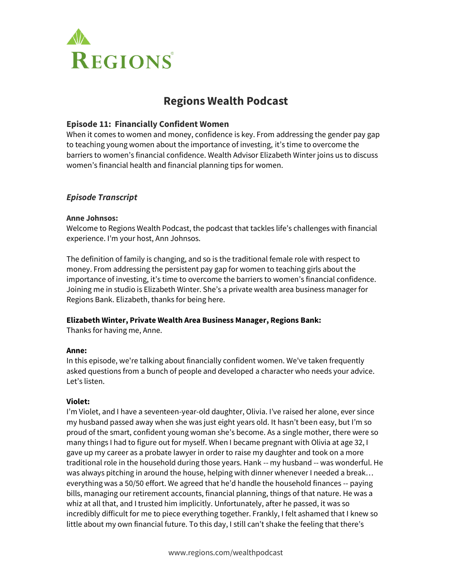

# **Regions Wealth Podcast**

# **Episode 11: Financially Confident Women**

When it comes to women and money, confidence is key. From addressing the gender pay gap to teaching young women about the importance of investing, it's time to overcome the barriers to women's financial confidence. Wealth Advisor Elizabeth Winter joins us to discuss women's financial health and financial planning tips for women.

# *Episode Transcript*

# **Anne Johnsos:**

Welcome to Regions Wealth Podcast, the podcast that tackles life's challenges with financial experience. I'm your host, Ann Johnsos.

The definition of family is changing, and so is the traditional female role with respect to money. From addressing the persistent pay gap for women to teaching girls about the importance of investing, it's time to overcome the barriers to women's financial confidence. Joining me in studio is Elizabeth Winter. She's a private wealth area business manager for Regions Bank. Elizabeth, thanks for being here.

# **Elizabeth Winter, Private Wealth Area Business Manager, Regions Bank:**

Thanks for having me, Anne.

# **Anne:**

In this episode, we're talking about financially confident women. We've taken frequently asked questions from a bunch of people and developed a character who needs your advice. Let's listen.

# **Violet:**

I'm Violet, and I have a seventeen-year-old daughter, Olivia. I've raised her alone, ever since my husband passed away when she was just eight years old. It hasn't been easy, but I'm so proud of the smart, confident young woman she's become. As a single mother, there were so many things I had to figure out for myself. When I became pregnant with Olivia at age 32, I gave up my career as a probate lawyer in order to raise my daughter and took on a more traditional role in the household during those years. Hank -- my husband -- was wonderful. He was always pitching in around the house, helping with dinner whenever I needed a break… everything was a 50/50 effort. We agreed that he'd handle the household finances -- paying bills, managing our retirement accounts, financial planning, things of that nature. He was a whiz at all that, and I trusted him implicitly. Unfortunately, after he passed, it was so incredibly difficult for me to piece everything together. Frankly, I felt ashamed that I knew so little about my own financial future. To this day, I still can't shake the feeling that there's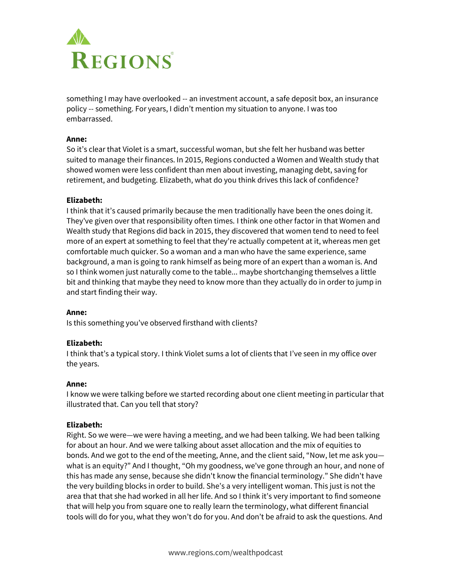

something I may have overlooked -- an investment account, a safe deposit box, an insurance policy -- something. For years, I didn't mention my situation to anyone. I was too embarrassed.

#### **Anne:**

So it's clear that Violet is a smart, successful woman, but she felt her husband was better suited to manage their finances. In 2015, Regions conducted a Women and Wealth study that showed women were less confident than men about investing, managing debt, saving for retirement, and budgeting. Elizabeth, what do you think drives this lack of confidence?

#### **Elizabeth:**

I think that it's caused primarily because the men traditionally have been the ones doing it. They've given over that responsibility often times. I think one other factor in that Women and Wealth study that Regions did back in 2015, they discovered that women tend to need to feel more of an expert at something to feel that they're actually competent at it, whereas men get comfortable much quicker. So a woman and a man who have the same experience, same background, a man is going to rank himself as being more of an expert than a woman is. And so I think women just naturally come to the table... maybe shortchanging themselves a little bit and thinking that maybe they need to know more than they actually do in order to jump in and start finding their way.

#### **Anne:**

Is this something you've observed firsthand with clients?

#### **Elizabeth:**

I think that's a typical story. I think Violet sums a lot of clients that I've seen in my office over the years.

#### **Anne:**

I know we were talking before we started recording about one client meeting in particular that illustrated that. Can you tell that story?

## **Elizabeth:**

Right. So we were—we were having a meeting, and we had been talking. We had been talking for about an hour. And we were talking about asset allocation and the mix of equities to bonds. And we got to the end of the meeting, Anne, and the client said, "Now, let me ask you what is an equity?" And I thought, "Oh my goodness, we've gone through an hour, and none of this has made any sense, because she didn't know the financial terminology." She didn't have the very building blocks in order to build. She's a very intelligent woman. This just is not the area that that she had worked in all her life. And so I think it's very important to find someone that will help you from square one to really learn the terminology, what different financial tools will do for you, what they won't do for you. And don't be afraid to ask the questions. And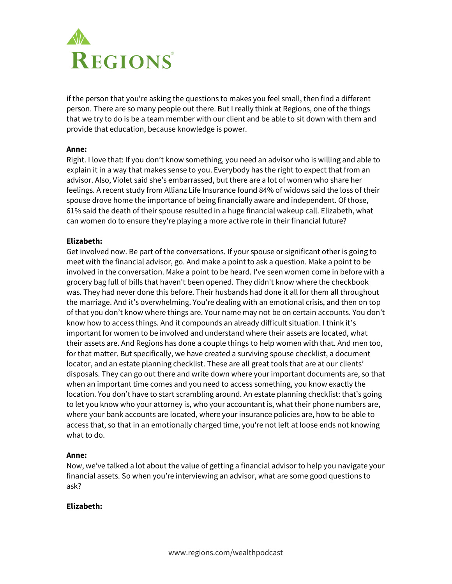

if the person that you're asking the questions to makes you feel small, then find a different person. There are so many people out there. But I really think at Regions, one of the things that we try to do is be a team member with our client and be able to sit down with them and provide that education, because knowledge is power.

#### **Anne:**

Right. I love that: If you don't know something, you need an advisor who is willing and able to explain it in a way that makes sense to you. Everybody has the right to expect that from an advisor. Also, Violet said she's embarrassed, but there are a lot of women who share her feelings. A recent study from Allianz Life Insurance found 84% of widows said the loss of their spouse drove home the importance of being financially aware and independent. Of those, 61% said the death of their spouse resulted in a huge financial wakeup call. Elizabeth, what can women do to ensure they're playing a more active role in their financial future?

#### **Elizabeth:**

Get involved now. Be part of the conversations. If your spouse or significant other is going to meet with the financial advisor, go. And make a point to ask a question. Make a point to be involved in the conversation. Make a point to be heard. I've seen women come in before with a grocery bag full of bills that haven't been opened. They didn't know where the checkbook was. They had never done this before. Their husbands had done it all for them all throughout the marriage. And it's overwhelming. You're dealing with an emotional crisis, and then on top of that you don't know where things are. Your name may not be on certain accounts. You don't know how to access things. And it compounds an already difficult situation. I think it's important for women to be involved and understand where their assets are located, what their assets are. And Regions has done a couple things to help women with that. And men too, for that matter. But specifically, we have created a surviving spouse checklist, a document locator, and an estate planning checklist. These are all great tools that are at our clients' disposals. They can go out there and write down where your important documents are, so that when an important time comes and you need to access something, you know exactly the location. You don't have to start scrambling around. An estate planning checklist: that's going to let you know who your attorney is, who your accountant is, what their phone numbers are, where your bank accounts are located, where your insurance policies are, how to be able to access that, so that in an emotionally charged time, you're not left at loose ends not knowing what to do.

## **Anne:**

Now, we've talked a lot about the value of getting a financial advisor to help you navigate your financial assets. So when you're interviewing an advisor, what are some good questions to ask?

## **Elizabeth:**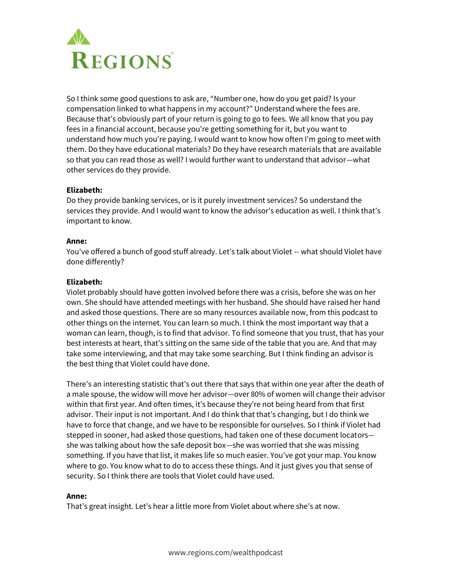

So I think some good questions to ask are, "Number one, how do you get paid? Is your compensation linked to what happens in my account?" Understand where the fees are. Because that's obviously part of your return is going to go to fees. We all know that you pay fees in a financial account, because you're getting something for it, but you want to understand how much you're paying. I would want to know how often I'm going to meet with them. Do they have educational materials? Do they have research materials that are available so that you can read those as well? I would further want to understand that advisor—what other services do they provide.

## **Elizabeth:**

Do they provide banking services, or is it purely investment services? So understand the services they provide. And I would want to know the advisor's education as well. I think that's important to know.

## **Anne:**

You've offered a bunch of good stuff already. Let's talk about Violet -- what should Violet have done differently?

# **Elizabeth:**

Violet probably should have gotten involved before there was a crisis, before she was on her own. She should have attended meetings with her husband. She should have raised her hand and asked those questions. There are so many resources available now, from this podcast to other things on the internet. You can learn so much. I think the most important way that a woman can learn, though, is to find that advisor. To find someone that you trust, that has your best interests at heart, that's sitting on the same side of the table that you are. And that may take some interviewing, and that may take some searching. But I think finding an advisor is the best thing that Violet could have done.

There's an interesting statistic that's out there that says that within one year after the death of a male spouse, the widow will move her advisor—over 80% of women will change their advisor within that first year. And often times, it's because they're not being heard from that first advisor. Their input is not important. And I do think that that's changing, but I do think we have to force that change, and we have to be responsible for ourselves. So I think if Violet had stepped in sooner, had asked those questions, had taken one of these document locators she was talking about how the safe deposit box—she was worried that she was missing something. If you have that list, it makes life so much easier. You've got your map. You know where to go. You know what to do to access these things. And it just gives you that sense of security. So I think there are tools that Violet could have used.

## **Anne:**

That's great insight. Let's hear a little more from Violet about where she's at now.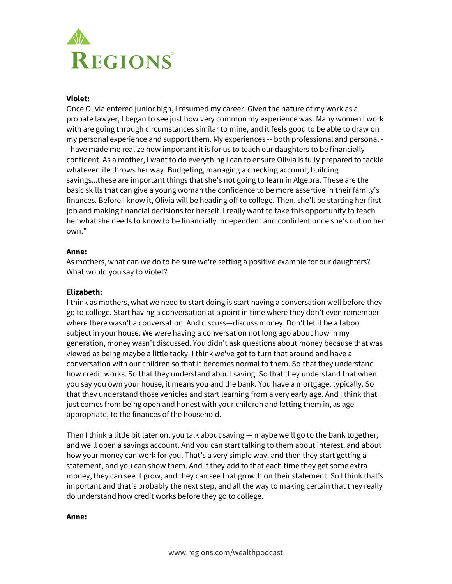

## **Violet:**

Once Olivia entered junior high, I resumed my career. Given the nature of my work as a probate lawyer, I began to see just how very common my experience was. Many women I work with are going through circumstances similar to mine, and it feels good to be able to draw on my personal experience and support them. My experiences -- both professional and personal - - have made me realize how important it is for us to teach our daughters to be financially confident. As a mother, I want to do everything I can to ensure Olivia is fully prepared to tackle whatever life throws her way. Budgeting, managing a checking account, building savings...these are important things that she's not going to learn in Algebra. These are the basic skills that can give a young woman the confidence to be more assertive in their family's finances. Before I know it, Olivia will be heading off to college. Then, she'll be starting her first job and making financial decisions for herself. I really want to take this opportunity to teach her what she needs to know to be financially independent and confident once she's out on her own."

## **Anne:**

As mothers, what can we do to be sure we're setting a positive example for our daughters? What would you say to Violet?

## **Elizabeth:**

I think as mothers, what we need to start doing is start having a conversation well before they go to college. Start having a conversation at a point in time where they don't even remember where there wasn't a conversation. And discuss—discuss money. Don't let it be a taboo subject in your house. We were having a conversation not long ago about how in my generation, money wasn't discussed. You didn't ask questions about money because that was viewed as being maybe a little tacky. I think we've got to turn that around and have a conversation with our children so that it becomes normal to them. So that they understand how credit works. So that they understand about saving. So that they understand that when you say you own your house, it means you and the bank. You have a mortgage, typically. So that they understand those vehicles and start learning from a very early age. And I think that just comes from being open and honest with your children and letting them in, as age appropriate, to the finances of the household.

Then I think a little bit later on, you talk about saving — maybe we'll go to the bank together, and we'll open a savings account. And you can start talking to them about interest, and about how your money can work for you. That's a very simple way, and then they start getting a statement, and you can show them. And if they add to that each time they get some extra money, they can see it grow, and they can see that growth on their statement. So I think that's important and that's probably the next step, and all the way to making certain that they really do understand how credit works before they go to college.

#### **Anne:**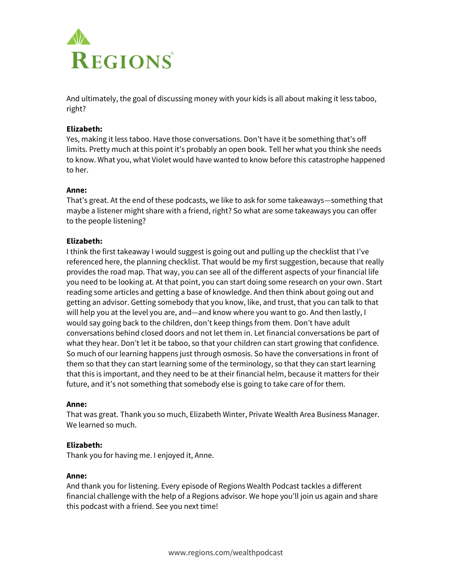

And ultimately, the goal of discussing money with your kids is all about making it less taboo, right?

## **Elizabeth:**

Yes, making it less taboo. Have those conversations. Don't have it be something that's off limits. Pretty much at this point it's probably an open book. Tell her what you think she needs to know. What you, what Violet would have wanted to know before this catastrophe happened to her.

## **Anne:**

That's great. At the end of these podcasts, we like to ask for some takeaways—something that maybe a listener might share with a friend, right? So what are some takeaways you can offer to the people listening?

# **Elizabeth:**

I think the first takeaway I would suggest is going out and pulling up the checklist that I've referenced here, the planning checklist. That would be my first suggestion, because that really provides the road map. That way, you can see all of the different aspects of your financial life you need to be looking at. At that point, you can start doing some research on your own. Start reading some articles and getting a base of knowledge. And then think about going out and getting an advisor. Getting somebody that you know, like, and trust, that you can talk to that will help you at the level you are, and—and know where you want to go. And then lastly, I would say going back to the children, don't keep things from them. Don't have adult conversations behind closed doors and not let them in. Let financial conversations be part of what they hear. Don't let it be taboo, so that your children can start growing that confidence. So much of our learning happens just through osmosis. So have the conversations in front of them so that they can start learning some of the terminology, so that they can start learning that this is important, and they need to be at their financial helm, because it matters for their future, and it's not something that somebody else is going to take care of for them.

## **Anne:**

That was great. Thank you so much, Elizabeth Winter, Private Wealth Area Business Manager. We learned so much.

## **Elizabeth:**

Thank you for having me. I enjoyed it, Anne.

## **Anne:**

And thank you for listening. Every episode of Regions Wealth Podcast tackles a different financial challenge with the help of a Regions advisor. We hope you'll join us again and share this podcast with a friend. See you next time!